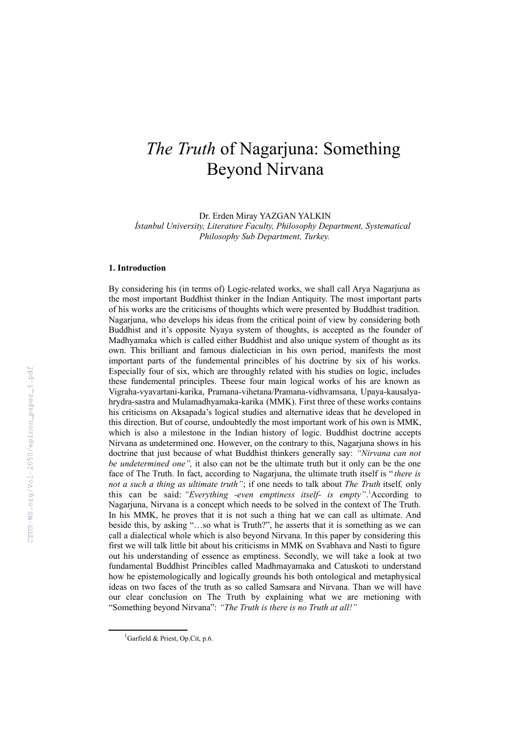## *The Truth* of Nagarjuna: Something Beyond Nirvana

Dr. Erden Miray YAZGAN YALKIN *İstanbul University, Literature Faculty, Philosophy Department, Systematical Philosophy Sub Department, Turkey.*

## **1. Introduction**

By considering his (in terms of) Logic-related works, we shall call Arya Nagarjuna as the most important Buddhist thinker in the Indian Antiquity. The most important parts of his works are the criticisms of thoughts which were presented by Buddhist tradition. Nagarjuna, who develops his ideas from the critical point of view by considering both Buddhist and it's opposite Nyaya system of thoughts, is accepted as the founder of Madhyamaka which is called either Buddhist and also unique system of thought as its own. This brilliant and famous dialectician in his own period, manifests the most important parts of the fundemental princibles of his doctrine by six of his works. Especially four of six, which are throughly related with his studies on logic, includes these fundemental principles. Theese four main logical works of his are known as Vigraha-vyavartani-karika, Pramana-vihetana/Pramana-vidhvamsana, Upaya-kausalyahrydra-sastra and Mulamadhyamaka-karika (MMK). First three of these works contains his criticisms on Aksapada's logical studies and alternative ideas that he developed in this direction. But of course, undoubtedly the most important work of his own is MMK, which is also a milestone in the Indian history of logic. Buddhist doctrine accepts Nirvana as undetermined one. However, on the contrary to this, Nagarjuna shows in his doctrine that just because of what Buddhist thinkers generally say: *"Nirvana can not be undetermined one",* it also can not be the ultimate truth but it only can be the one face of The Truth. In fact, according to Nagarjuna, the ultimate truth itself is " *there is not a such a thing as ultimate truth"*; if one needs to talk about *The Truth* itself*,* only this can be said: *"Everything -even emptiness itself- is empty"*. [1](#page-0-0)According to Nagarjuna, Nirvana is a concept which needs to be solved in the context of The Truth. In his MMK, he proves that it is not such a thing hat we can call as ultimate. And beside this, by asking "…so what is Truth?", he asserts that it is something as we can call a dialectical whole which is also beyond Nirvana. In this paper by considering this first we will talk little bit about his criticisms in MMK on Svabhava and Nasti to figure out his understanding of essence as emptiness. Secondly, we will take a look at two fundamental Buddhist Princibles called Madhmayamaka and Catuskoti to understand how he epistemologically and logically grounds his both ontological and metaphysical ideas on two faces of the truth as so called Samsara and Nirvana. Than we will have our clear conclusion on The Truth by explaining what we are metioning with "Something beyond Nirvana": *"The Truth is there is no Truth at all!"*

<span id="page-0-0"></span><sup>&</sup>lt;sup>1</sup>Garfield & Priest, Op.Cit, p.6.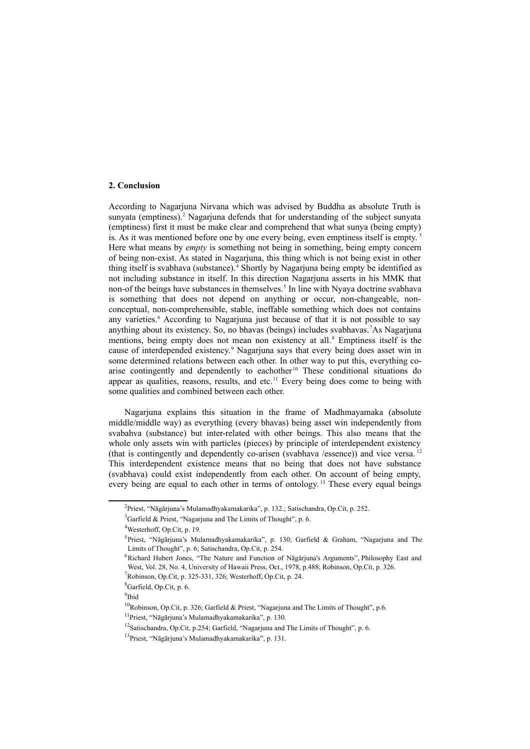## **2. Conclusion**

According to Nagarjuna Nirvana which was advised by Buddha as absolute Truth is sunyata (emptiness).<sup>[2](#page-1-0)</sup> Nagarjuna defends that for understanding of the subject sunyata (emptiness) first it must be make clear and comprehend that what sunya (being empty) is. As it was mentioned before one by one every being, even emptiness itself is empty.<sup>[3](#page-1-1)</sup> Here what means by *empty* is something not being in something, being empty concern of being non-exist. As stated in Nagarjuna, this thing which is not being exist in other thing itself is svabhava (substance).<sup>[4](#page-1-2)</sup> Shortly by Nagarjuna being empty be identified as not including substance in itself. In this direction Nagarjuna asserts in his MMK that non-of the beings have substances in themselves.<sup>[5](#page-1-3)</sup> In line with Nyaya doctrine svabhava is something that does not depend on anything or occur, non-changeable, nonconceptual, non-comprehensible, stable, ineffable something which does not contains any varieties.<sup>[6](#page-1-4)</sup> According to Nagarjuna just because of that it is not possible to say anything about its existency. So, no bhavas (beings) includes svabhavas.[7](#page-1-5)As Nagarjuna mentions, being empty does not mean non existency at all.<sup>[8](#page-1-6)</sup> Emptiness itself is the cause of interdepended existency.<sup>[9](#page-1-7)</sup> Nagarjuna says that every being does asset win in some determined relations between each other. In other way to put this, everything co-arise contingently and dependently to eachother<sup>[10](#page-1-8)</sup> These conditional situations do appear as qualities, reasons, results, and etc.<sup>[11](#page-1-9)</sup> Every being does come to being with some qualities and combined between each other.

Nagarjuna explains this situation in the frame of Madhmayamaka (absolute middle/middle way) as everything (every bhavas) being asset win independently from svabahva (substance) but inter-related with other beings. This also means that the whole only assets win with particles (pieces) by principle of interdependent existency (that is contingently and dependently co-arisen (svabhava /essence)) and vice versa. [12](#page-1-10) This interdependent existence means that no being that does not have substance (svabhava) could exist independently from each other. On account of being empty, every being are equal to each other in terms of ontology.<sup>[13](#page-1-11)</sup> These every equal beings

<span id="page-1-7"></span><sup>9</sup>Ibid

<span id="page-1-0"></span><sup>2</sup> Priest, "Nāgārjuna's Mulamadhyakamakarika", p. 132.; Satischandra, Op.Cit, p. 252.

<span id="page-1-1"></span> $3$ Garfield & Priest, "Nagarjuna and The Limits of Thought", p. 6.

<span id="page-1-2"></span><sup>4</sup>Westerhoff, Op.Cit, p. 19.

<span id="page-1-3"></span><sup>&</sup>lt;sup>5</sup> Priest, "Nāgārjuna's Mulamadhyakamakarika", p. 130; Garfield & Graham, "Nagarjuna and The Limits of Thought", p. 6; Satischandra, Op.Cit, p. 254.

<span id="page-1-4"></span><sup>&</sup>lt;sup>6</sup>Richard Hubert Jones, "The Nature and Function of Nāgārjuna's Arguments", Philosophy East and West, Vol. 28, No. 4, University of Hawaii Press, Oct., 1978, p.488; Robinson, Op.Cit, p. 326.

<span id="page-1-5"></span> $7Robinson$ , Op.Cit, p. 325-331, 326; Westerhoff, Op.Cit, p. 24.

<span id="page-1-6"></span><sup>8</sup>Garfield, Op.Cit, p. 6.

<span id="page-1-8"></span><sup>&</sup>lt;sup>10</sup>Robinson, Op.Cit, p. 326; Garfield & Priest, "Nagarjuna and The Limits of Thought", p.6.

<span id="page-1-9"></span><sup>11</sup>Priest, "Nāgārjuna's Mulamadhyakamakarika", p. 130.

<span id="page-1-10"></span><sup>12</sup>Satischandra, Op.Cit, p.254; Garfield, "Nagarjuna and The Limits of Thought", p. 6.

<span id="page-1-11"></span><sup>13</sup>Priest, "Nāgārjuna's Mulamadhyakamakarika", p. 131.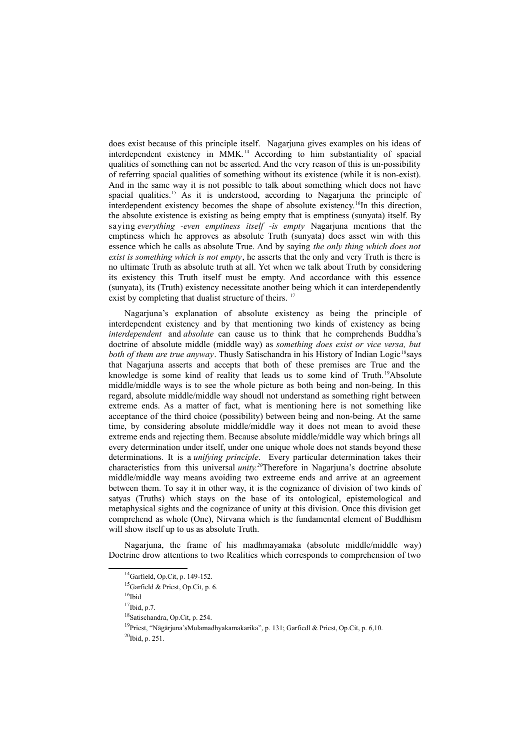does exist because of this principle itself. Nagarjuna gives examples on his ideas of interdependent existency in MMK.[14](#page-2-0) According to him substantiality of spacial qualities of something can not be asserted. And the very reason of this is un-possibility of referring spacial qualities of something without its existence (while it is non-exist). And in the same way it is not possible to talk about something which does not have spacial qualities.<sup>[15](#page-2-1)</sup> As it is understood, according to Nagarjuna the principle of interdependent existency becomes the shape of absolute existency.[16](#page-2-2)In this direction, the absolute existence is existing as being empty that is emptiness (sunyata) itself. By saying *everything -even emptiness itself -is empty* Nagarjuna mentions that the emptiness which he approves as absolute Truth (sunyata) does asset win with this essence which he calls as absolute True. And by saying *the only thing which does not exist is something which is not empty*, he asserts that the only and very Truth is there is no ultimate Truth as absolute truth at all. Yet when we talk about Truth by considering its existency this Truth itself must be empty. And accordance with this essence (sunyata), its (Truth) existency necessitate another being which it can interdependently exist by completing that dualist structure of theirs. <sup>[17](#page-2-3)</sup>

Nagarjuna's explanation of absolute existency as being the principle of interdependent existency and by that mentioning two kinds of existency as being *interdependent* and *absolute* can cause us to think that he comprehends Buddha's doctrine of absolute middle (middle way) as *something does exist or vice versa, but both of them are true anyway*. Thusly Satischandra in his History of Indian Logic<sup>[18](#page-2-4)</sup>says that Nagarjuna asserts and accepts that both of these premises are True and the knowledge is some kind of reality that leads us to some kind of Truth.<sup>[19](#page-2-5)</sup>Absolute middle/middle ways is to see the whole picture as both being and non-being. In this regard, absolute middle/middle way shoudl not understand as something right between extreme ends. As a matter of fact, what is mentioning here is not something like acceptance of the third choice (possibility) between being and non-being. At the same time, by considering absolute middle/middle way it does not mean to avoid these extreme ends and rejecting them. Because absolute middle/middle way which brings all every determination under itself, under one unique whole does not stands beyond these determinations. It is a *unifying principle*. Every particular determination takes their characteristics from this universal *unity.[20](#page-2-6)*Therefore in Nagarjuna's doctrine absolute middle/middle way means avoiding two extreeme ends and arrive at an agreement between them. To say it in other way, it is the cognizance of division of two kinds of satyas (Truths) which stays on the base of its ontological, epistemological and metaphysical sights and the cognizance of unity at this division. Once this division get comprehend as whole (One), Nirvana which is the fundamental element of Buddhism will show itself up to us as absolute Truth.

Nagarjuna, the frame of his madhmayamaka (absolute middle/middle way) Doctrine drow attentions to two Realities which corresponds to comprehension of two

<span id="page-2-0"></span><sup>&</sup>lt;sup>14</sup>Garfield, Op.Cit, p. 149-152.

<span id="page-2-1"></span><sup>&</sup>lt;sup>15</sup>Garfield & Priest, Op.Cit, p. 6.

<span id="page-2-2"></span> $16$ Ibid

<span id="page-2-3"></span> $17$ Ibid, p.7.

<span id="page-2-4"></span><sup>18</sup>Satischandra, Op.Cit, p. 254.

<span id="page-2-5"></span><sup>19</sup>Priest, "Nāgārjuna'sMulamadhyakamakarika", p. 131; Garfiedl & Priest, Op.Cit, p. 6,10.

<span id="page-2-6"></span><sup>&</sup>lt;sup>20</sup>Ibid, p. 251.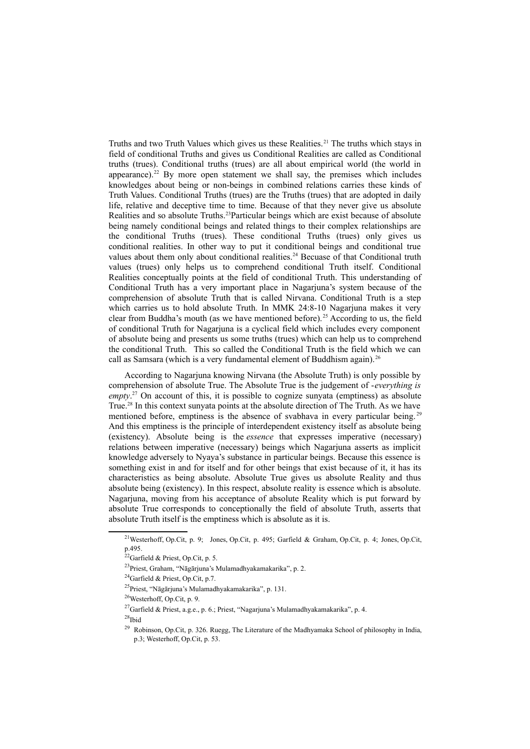Truths and two Truth Values which gives us these Realities.<sup>[21](#page-3-0)</sup> The truths which stays in field of conditional Truths and gives us Conditional Realities are called as Conditional truths (trues). Conditional truths (trues) are all about empirical world (the world in appearance).<sup>[22](#page-3-1)</sup> By more open statement we shall say, the premises which includes knowledges about being or non-beings in combined relations carries these kinds of Truth Values. Conditional Truths (trues) are the Truths (trues) that are adopted in daily life, relative and deceptive time to time. Because of that they never give us absolute Realities and so absolute Truths.[23](#page-3-2)Particular beings which are exist because of absolute being namely conditional beings and related things to their complex relationships are the conditional Truths (trues). These conditional Truths (trues) only gives us conditional realities. In other way to put it conditional beings and conditional true values about them only about conditional realities.<sup>[24](#page-3-3)</sup> Becuase of that Conditional truth values (trues) only helps us to comprehend conditional Truth itself. Conditional Realities conceptually points at the field of conditional Truth. This understanding of Conditional Truth has a very important place in Nagarjuna's system because of the comprehension of absolute Truth that is called Nirvana. Conditional Truth is a step which carries us to hold absolute Truth. In MMK 24:8-10 Nagariuna makes it very clear from Buddha's mouth (as we have mentioned before).<sup>[25](#page-3-4)</sup> According to us, the field of conditional Truth for Nagarjuna is a cyclical field which includes every component of absolute being and presents us some truths (trues) which can help us to comprehend the conditional Truth. This so called the Conditional Truth is the field which we can call as Samsara (which is a very fundamental element of Buddhism again).<sup>[26](#page-3-5)</sup>

According to Nagarjuna knowing Nirvana (the Absolute Truth) is only possible by comprehension of absolute True. The Absolute True is the judgement of -*everything is* empty.<sup>[27](#page-3-6)</sup> On account of this, it is possible to cognize sunyata (emptiness) as absolute True.[28](#page-3-7) In this context sunyata points at the absolute direction of The Truth. As we have mentioned before, emptiness is the absence of svabhava in every particular being.<sup>[29](#page-3-8)</sup> And this emptiness is the principle of interdependent existency itself as absolute being (existency). Absolute being is the *essence* that expresses imperative (necessary) relations between imperative (necessary) beings which Nagarjuna asserts as implicit knowledge adversely to Nyaya's substance in particular beings. Because this essence is something exist in and for itself and for other beings that exist because of it, it has its characteristics as being absolute. Absolute True gives us absolute Reality and thus absolute being (existency). In this respect, absolute reality is essence which is absolute. Nagarjuna, moving from his acceptance of absolute Reality which is put forward by absolute True corresponds to conceptionally the field of absolute Truth, asserts that absolute Truth itself is the emptiness which is absolute as it is.

<span id="page-3-7"></span> $28$ Ibid

<span id="page-3-0"></span><sup>21</sup>Westerhoff, Op.Cit, p. 9; Jones, Op.Cit, p. 495; Garfield & Graham, Op.Cit, p. 4; Jones, Op.Cit, p.495.

<span id="page-3-1"></span> $22$ Garfield & Priest, Op.Cit, p. 5.

<span id="page-3-2"></span><sup>23</sup>Priest, Graham, "Nāgārjuna's Mulamadhyakamakarika", p. 2.

<span id="page-3-3"></span><sup>&</sup>lt;sup>24</sup>Garfield & Priest, Op.Cit, p.7.

<span id="page-3-4"></span><sup>25</sup>Priest, "Nāgārjuna's Mulamadhyakamakarika", p. 131.

<span id="page-3-5"></span><sup>26</sup>Westerhoff, Op.Cit, p. 9.

<span id="page-3-6"></span><sup>&</sup>lt;sup>27</sup>Garfield & Priest, a.g.e., p. 6.; Priest, "Nagarjuna's Mulamadhyakamakarika", p. 4.

<span id="page-3-8"></span><sup>&</sup>lt;sup>29</sup> Robinson. Op.Cit, p. 326. Ruegg, The Literature of the Madhyamaka School of philosophy in India, p.3; Westerhoff, Op.Cit, p. 53.